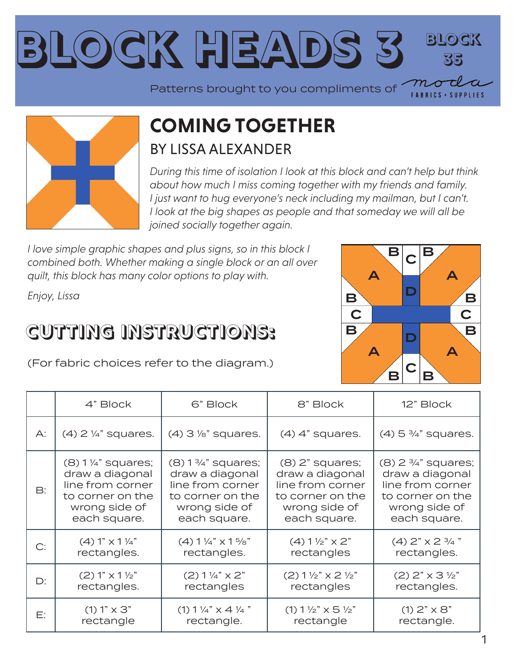



#### **COMING TOGETHER** BY LISSA ALEXANDER

*During this time of isolation I look at this block and can't help but think about how much I miss coming together with my friends and family. I* just want to hug everyone's neck including my mailman, but I can't. *I look at the big shapes as people and that someday we will all be joined socially together again.* 

*I love simple graphic shapes and plus signs, so in this block I combined both. Whether making a single block or an all over quilt, this block has many color options to play with.*

*Enjoy, Lissa*

#### **CUTTING INSTRUCTIONS:**

(For fabric choices refer to the diagram.)



|    | 4" Block                         | 6" Block                         | 8" Block                                     | 12" Block                           |
|----|----------------------------------|----------------------------------|----------------------------------------------|-------------------------------------|
| A: | $(4)$ 2 $\frac{1}{4}$ " squares. | $(4)$ 3 $\frac{1}{8}$ " squares. | $(4)$ 4" squares.                            | $(4)$ 5 $\frac{3}{4}$ " squares.    |
| B: | $(8)$ 1 ¼" squares;              | $(8) 1\frac{3}{4}$ " squares;    | $(8)$ $2"$ squares;                          | $(8)$ 2 $\frac{3}{4}$ " squares;    |
|    | draw a diagonal                  | draw a diagonal                  | draw a diagonal                              | draw a diagonal                     |
|    | line from corner                 | line from corner                 | line from corner                             | line from corner                    |
|    | to corner on the                 | to corner on the                 | to corner on the                             | to corner on the                    |
|    | wrong side of                    | wrong side of                    | wrong side of                                | wrong side of                       |
|    | each square.                     | each square.                     | each square.                                 | each square.                        |
| C: | $(4) 1" \times 1\frac{1}{4"$     | $(4)$ 1 1/4" $\times$ 1 5/8"     | $(4)$ 1 $\frac{1}{2}$ $\times$ 2"            | $(4)$ 2" $\times$ 2 $\frac{3}{4}$ " |
|    | rectangles.                      | rectangles.                      | rectangles                                   | rectangles.                         |
| D: | $(2) 1" x 1 \frac{1}{2"$         | $(2)$ 1 1/4" $\times$ 2"         | $(2) 1 \frac{1}{2}$ $\times$ 2 $\frac{1}{2}$ | $(2)$ 2" $\times$ 3 $\frac{1}{2}$ " |
|    | rectangles.                      | rectangles                       | rectangles                                   | rectangles.                         |
| Е: | $(1) 1" \times 3"$               | $(1)$ 1 1/4" $\times$ 4 1/4"     | $(1)$ 1 1/2" $\times$ 5 1/2"                 | $(1) 2" \times 8"$                  |
|    | rectangle                        | rectangle.                       | rectangle                                    | rectangle.                          |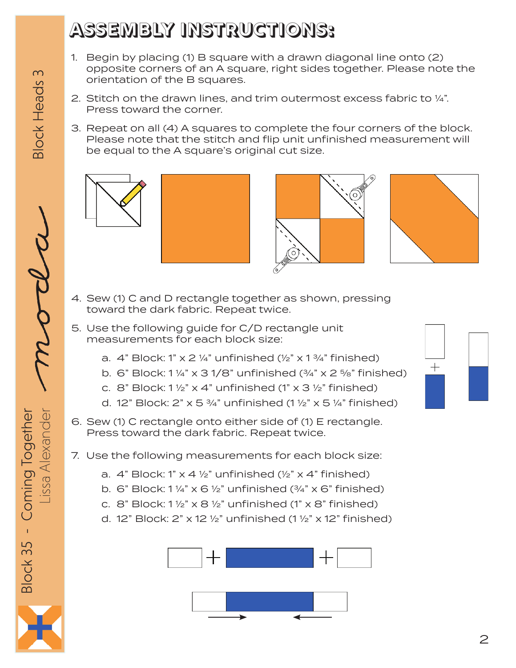## **ASSEMBLY INSTRUCTIONS:**

- 1. Begin by placing (1) B square with a drawn diagonal line onto (2) opposite corners of an A square, right sides together. Please note the orientation of the B squares.
- 2. Stitch on the drawn lines, and trim outermost excess fabric to ¼". Press toward the corner.
- 3. Repeat on all (4) A squares to complete the four corners of the block. Please note that the stitch and flip unit unfinished measurement will be equal to the A square's original cut size.





- 4. Sew (1) C and D rectangle together as shown, pressing toward the dark fabric. Repeat twice.
- 5. Use the following guide for C/D rectangle unit measurements for each block size:
	- a.  $4$ " Block: 1" x 2 ¼" unfinished (½" x 1  $\frac{3}{4}$ " finished)
	- b. 6" Block:  $1\frac{1}{4}$ " x 3 1/8" unfinished  $(\frac{3}{4}$ " x 2  $\frac{5}{8}$ " finished)
	- c. 8" Block:  $1\frac{1}{2}$ " x 4" unfinished (1" x 3  $\frac{1}{2}$ " finished)
	- d. 12" Block: 2" x 5  $\frac{3}{4}$ " unfinished (1  $\frac{1}{2}$ " x 5  $\frac{1}{4}$ " finished)
- 6. Sew (1) C rectangle onto either side of (1) E rectangle. Press toward the dark fabric. Repeat twice.
- 7. Use the following measurements for each block size:
	- a.  $4$ " Block: 1" x 4  $\frac{1}{2}$ " unfinished  $\frac{1}{2}$ " x 4" finished)
	- b. 6" Block:  $1\frac{1}{4}$ " x 6  $\frac{1}{2}$ " unfinished ( $\frac{3}{4}$ " x 6" finished)
	- c. 8" Block:  $1\frac{1}{2}$ " x 8  $\frac{1}{2}$ " unfinished (1" x 8" finished)
	- d. 12" Block: 2" x 12  $\frac{1}{2}$ " unfinished (1  $\frac{1}{2}$ " x 12" finished)





**Block Heads 3** 

Lissa Alexander  $\overline{\mathcal{P}}$ Block 35 - Coming Together Block 35 - Coming Together Lissa Alexander